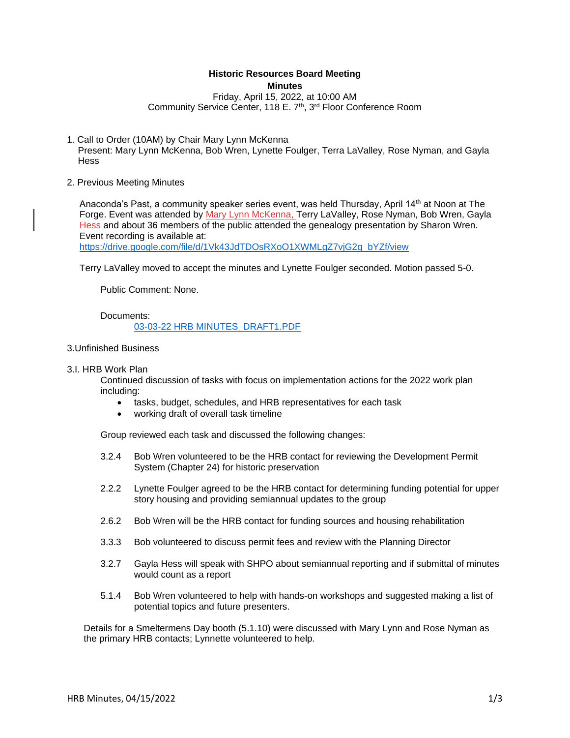# **Historic Resources Board Meeting**

**Minutes**

Friday, April 15, 2022, at 10:00 AM Community Service Center, 118 E. 7<sup>th</sup>, 3<sup>rd</sup> Floor Conference Room

1. Call to Order (10AM) by Chair Mary Lynn McKenna

Present: Mary Lynn McKenna, Bob Wren, Lynette Foulger, Terra LaValley, Rose Nyman, and Gayla **Hess** 

2. Previous Meeting Minutes

Anaconda's Past, a community speaker series event, was held Thursday, April 14<sup>th</sup> at Noon at The Forge. Event was attended by Mary Lynn McKenna, Terry LaValley, Rose Nyman, Bob Wren, Gayla Hess and about 36 members of the public attended the genealogy presentation by Sharon Wren. Event recording is available at:

[https://drive.google.com/file/d/1Vk43JdTDOsRXoO1XWMLgZ7vjG2q\\_bYZf/view](https://drive.google.com/file/d/1Vk43JdTDOsRXoO1XWMLgZ7vjG2q_bYZf/view)

Terry LaValley moved to accept the minutes and Lynette Foulger seconded. Motion passed 5-0.

Public Comment: None.

Documents:

## [03-03-22 HRB MINUTES\\_DRAFT1.PDF](https://www.adlc.us/AgendaCenter/ViewFile/Item/318?fileID=539)

- 3.Unfinished Business
- 3.I. HRB Work Plan

Continued discussion of tasks with focus on implementation actions for the 2022 work plan including:

- tasks, budget, schedules, and HRB representatives for each task
- working draft of overall task timeline

Group reviewed each task and discussed the following changes:

- 3.2.4 Bob Wren volunteered to be the HRB contact for reviewing the Development Permit System (Chapter 24) for historic preservation
- 2.2.2 Lynette Foulger agreed to be the HRB contact for determining funding potential for upper story housing and providing semiannual updates to the group
- 2.6.2 Bob Wren will be the HRB contact for funding sources and housing rehabilitation
- 3.3.3 Bob volunteered to discuss permit fees and review with the Planning Director
- 3.2.7 Gayla Hess will speak with SHPO about semiannual reporting and if submittal of minutes would count as a report
- 5.1.4 Bob Wren volunteered to help with hands-on workshops and suggested making a list of potential topics and future presenters.

Details for a Smeltermens Day booth (5.1.10) were discussed with Mary Lynn and Rose Nyman as the primary HRB contacts; Lynnette volunteered to help.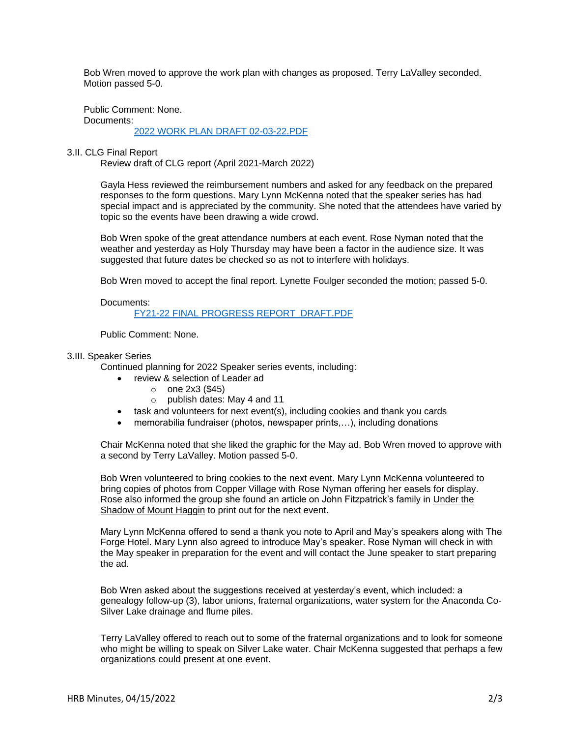Bob Wren moved to approve the work plan with changes as proposed. Terry LaValley seconded. Motion passed 5-0.

Public Comment: None. Documents:

[2022 WORK PLAN DRAFT 02-03-22.PDF](https://www.adlc.us/AgendaCenter/ViewFile/Item/320?fileID=540)

## 3.II. CLG Final Report

Review draft of CLG report (April 2021-March 2022)

Gayla Hess reviewed the reimbursement numbers and asked for any feedback on the prepared responses to the form questions. Mary Lynn McKenna noted that the speaker series has had special impact and is appreciated by the community. She noted that the attendees have varied by topic so the events have been drawing a wide crowd.

Bob Wren spoke of the great attendance numbers at each event. Rose Nyman noted that the weather and yesterday as Holy Thursday may have been a factor in the audience size. It was suggested that future dates be checked so as not to interfere with holidays.

Bob Wren moved to accept the final report. Lynette Foulger seconded the motion; passed 5-0.

Documents:

[FY21-22 FINAL PROGRESS REPORT\\_DRAFT.PDF](https://www.adlc.us/AgendaCenter/ViewFile/Item/315?fileID=537)

Public Comment: None.

## 3.III. Speaker Series

Continued planning for 2022 Speaker series events, including:

- review & selection of Leader ad
	- o one 2x3 (\$45)
	- o publish dates: May 4 and 11
- task and volunteers for next event(s), including cookies and thank you cards
- memorabilia fundraiser (photos, newspaper prints,...), including donations

Chair McKenna noted that she liked the graphic for the May ad. Bob Wren moved to approve with a second by Terry LaValley. Motion passed 5-0.

Bob Wren volunteered to bring cookies to the next event. Mary Lynn McKenna volunteered to bring copies of photos from Copper Village with Rose Nyman offering her easels for display. Rose also informed the group she found an article on John Fitzpatrick's family in Under the Shadow of Mount Haggin to print out for the next event.

Mary Lynn McKenna offered to send a thank you note to April and May's speakers along with The Forge Hotel. Mary Lynn also agreed to introduce May's speaker. Rose Nyman will check in with the May speaker in preparation for the event and will contact the June speaker to start preparing the ad.

Bob Wren asked about the suggestions received at yesterday's event, which included: a genealogy follow-up (3), labor unions, fraternal organizations, water system for the Anaconda Co-Silver Lake drainage and flume piles.

Terry LaValley offered to reach out to some of the fraternal organizations and to look for someone who might be willing to speak on Silver Lake water. Chair McKenna suggested that perhaps a few organizations could present at one event.